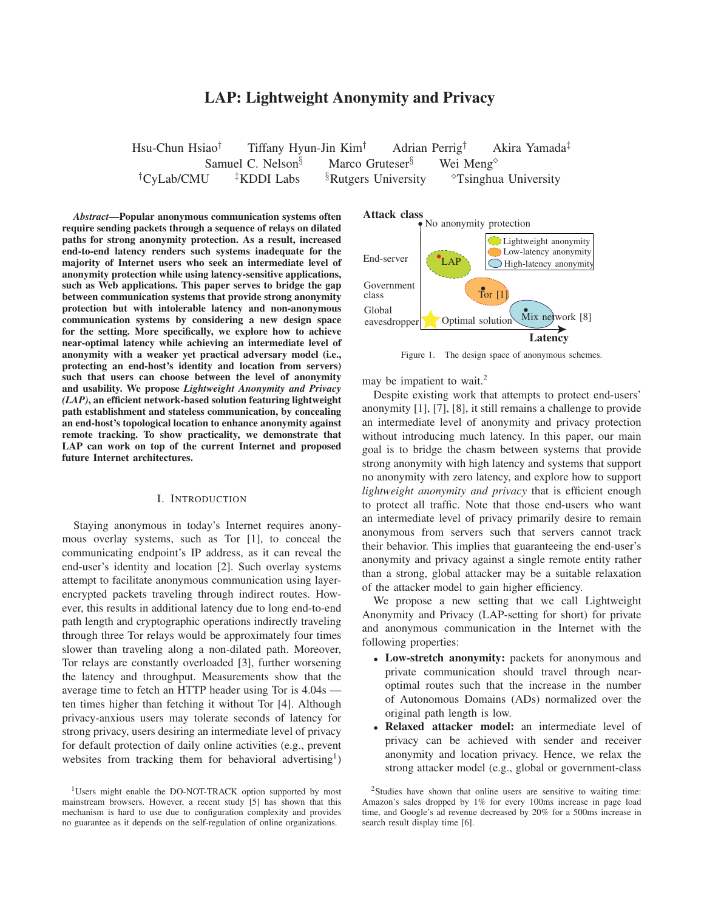# **LAP: Lightweight Anonymity and Privacy**

Hsu-Chun Hsiao† Tiffany Hyun-Jin Kim† Adrian Perrig† Akira Yamada‡ Samuel C. Nelson<sup>§</sup> Marco Gruteser<sup>§</sup> Wei Meng<sup> $\diamond$ </sup> †CyLab/CMU ‡KDDI Labs §Rutgers University <sup>⋄</sup>Tsinghua University

*Abstract***—Popular anonymous communication systems often require sending packets through a sequence of relays on dilated paths for strong anonymity protection. As a result, increased end-to-end latency renders such systems inadequate for the majority of Internet users who seek an intermediate level of anonymity protection while using latency-sensitive applications, such as Web applications. This paper serves to bridge the gap between communication systems that provide strong anonymity protection but with intolerable latency and non-anonymous communication systems by considering a new design space for the setting. More specifically, we explore how to achieve near-optimal latency while achieving an intermediate level of anonymity with a weaker yet practical adversary model (i.e., protecting an end-host's identity and location from servers) such that users can choose between the level of anonymity and usability. We propose** *Lightweight Anonymity and Privacy (LAP)***, an efficient network-based solution featuring lightweight path establishment and stateless communication, by concealing an end-host's topological location to enhance anonymity against remote tracking. To show practicality, we demonstrate that LAP can work on top of the current Internet and proposed future Internet architectures.**

# I. INTRODUCTION

Staying anonymous in today's Internet requires anonymous overlay systems, such as Tor [1], to conceal the communicating endpoint's IP address, as it can reveal the end-user's identity and location [2]. Such overlay systems attempt to facilitate anonymous communication using layerencrypted packets traveling through indirect routes. However, this results in additional latency due to long end-to-end path length and cryptographic operations indirectly traveling through three Tor relays would be approximately four times slower than traveling along a non-dilated path. Moreover, Tor relays are constantly overloaded [3], further worsening the latency and throughput. Measurements show that the average time to fetch an HTTP header using Tor is 4.04s ten times higher than fetching it without Tor [4]. Although privacy-anxious users may tolerate seconds of latency for strong privacy, users desiring an intermediate level of privacy for default protection of daily online activities (e.g., prevent websites from tracking them for behavioral advertising<sup>1</sup>)

# **Attack class**



Figure 1. The design space of anonymous schemes.

may be impatient to wait.<sup>2</sup>

Despite existing work that attempts to protect end-users' anonymity [1], [7], [8], it still remains a challenge to provide an intermediate level of anonymity and privacy protection without introducing much latency. In this paper, our main goal is to bridge the chasm between systems that provide strong anonymity with high latency and systems that support no anonymity with zero latency, and explore how to support *lightweight anonymity and privacy* that is efficient enough to protect all traffic. Note that those end-users who want an intermediate level of privacy primarily desire to remain anonymous from servers such that servers cannot track their behavior. This implies that guaranteeing the end-user's anonymity and privacy against a single remote entity rather than a strong, global attacker may be a suitable relaxation of the attacker model to gain higher efficiency.

We propose a new setting that we call Lightweight Anonymity and Privacy (LAP-setting for short) for private and anonymous communication in the Internet with the following properties:

- **Low-stretch anonymity:** packets for anonymous and private communication should travel through nearoptimal routes such that the increase in the number of Autonomous Domains (ADs) normalized over the original path length is low.
- **Relaxed attacker model:** an intermediate level of privacy can be achieved with sender and receiver anonymity and location privacy. Hence, we relax the strong attacker model (e.g., global or government-class

<sup>&</sup>lt;sup>1</sup>Users might enable the DO-NOT-TRACK option supported by most mainstream browsers. However, a recent study [5] has shown that this mechanism is hard to use due to configuration complexity and provides no guarantee as it depends on the self-regulation of online organizations.

<sup>&</sup>lt;sup>2</sup>Studies have shown that online users are sensitive to waiting time: Amazon's sales dropped by 1% for every 100ms increase in page load time, and Google's ad revenue decreased by 20% for a 500ms increase in search result display time [6].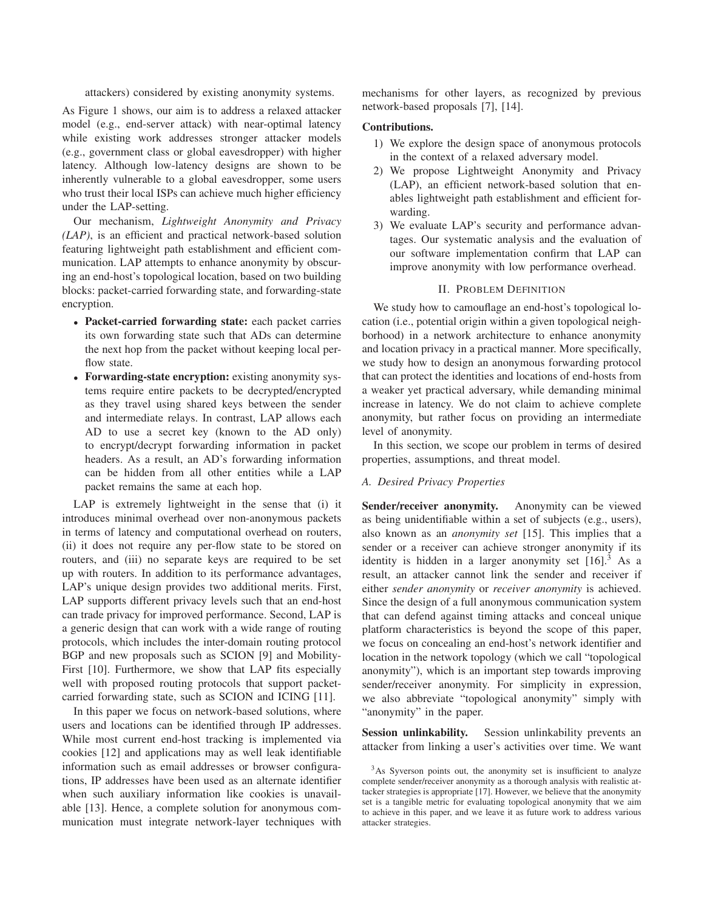attackers) considered by existing anonymity systems.

As Figure 1 shows, our aim is to address a relaxed attacker model (e.g., end-server attack) with near-optimal latency while existing work addresses stronger attacker models (e.g., government class or global eavesdropper) with higher latency. Although low-latency designs are shown to be inherently vulnerable to a global eavesdropper, some users who trust their local ISPs can achieve much higher efficiency under the LAP-setting.

Our mechanism, *Lightweight Anonymity and Privacy (LAP)*, is an efficient and practical network-based solution featuring lightweight path establishment and efficient communication. LAP attempts to enhance anonymity by obscuring an end-host's topological location, based on two building blocks: packet-carried forwarding state, and forwarding-state encryption.

- **Packet-carried forwarding state:** each packet carries its own forwarding state such that ADs can determine the next hop from the packet without keeping local perflow state.
- **Forwarding-state encryption:** existing anonymity systems require entire packets to be decrypted/encrypted as they travel using shared keys between the sender and intermediate relays. In contrast, LAP allows each AD to use a secret key (known to the AD only) to encrypt/decrypt forwarding information in packet headers. As a result, an AD's forwarding information can be hidden from all other entities while a LAP packet remains the same at each hop.

LAP is extremely lightweight in the sense that (i) it introduces minimal overhead over non-anonymous packets in terms of latency and computational overhead on routers, (ii) it does not require any per-flow state to be stored on routers, and (iii) no separate keys are required to be set up with routers. In addition to its performance advantages, LAP's unique design provides two additional merits. First, LAP supports different privacy levels such that an end-host can trade privacy for improved performance. Second, LAP is a generic design that can work with a wide range of routing protocols, which includes the inter-domain routing protocol BGP and new proposals such as SCION [9] and Mobility-First [10]. Furthermore, we show that LAP fits especially well with proposed routing protocols that support packetcarried forwarding state, such as SCION and ICING [11].

In this paper we focus on network-based solutions, where users and locations can be identified through IP addresses. While most current end-host tracking is implemented via cookies [12] and applications may as well leak identifiable information such as email addresses or browser configurations, IP addresses have been used as an alternate identifier when such auxiliary information like cookies is unavailable [13]. Hence, a complete solution for anonymous communication must integrate network-layer techniques with mechanisms for other layers, as recognized by previous network-based proposals [7], [14].

# **Contributions.**

- 1) We explore the design space of anonymous protocols in the context of a relaxed adversary model.
- 2) We propose Lightweight Anonymity and Privacy (LAP), an efficient network-based solution that enables lightweight path establishment and efficient forwarding.
- 3) We evaluate LAP's security and performance advantages. Our systematic analysis and the evaluation of our software implementation confirm that LAP can improve anonymity with low performance overhead.

## II. PROBLEM DEFINITION

We study how to camouflage an end-host's topological location (i.e., potential origin within a given topological neighborhood) in a network architecture to enhance anonymity and location privacy in a practical manner. More specifically, we study how to design an anonymous forwarding protocol that can protect the identities and locations of end-hosts from a weaker yet practical adversary, while demanding minimal increase in latency. We do not claim to achieve complete anonymity, but rather focus on providing an intermediate level of anonymity.

In this section, we scope our problem in terms of desired properties, assumptions, and threat model.

#### *A. Desired Privacy Properties*

**Sender/receiver anonymity.** Anonymity can be viewed as being unidentifiable within a set of subjects (e.g., users), also known as an *anonymity set* [15]. This implies that a sender or a receiver can achieve stronger anonymity if its identity is hidden in a larger anonymity set  $[16]$ <sup>3</sup>. As a result, an attacker cannot link the sender and receiver if either *sender anonymity* or *receiver anonymity* is achieved. Since the design of a full anonymous communication system that can defend against timing attacks and conceal unique platform characteristics is beyond the scope of this paper, we focus on concealing an end-host's network identifier and location in the network topology (which we call "topological anonymity"), which is an important step towards improving sender/receiver anonymity. For simplicity in expression, we also abbreviate "topological anonymity" simply with "anonymity" in the paper.

**Session unlinkability.** Session unlinkability prevents an attacker from linking a user's activities over time. We want

<sup>&</sup>lt;sup>3</sup>As Syverson points out, the anonymity set is insufficient to analyze complete sender/receiver anonymity as a thorough analysis with realistic attacker strategies is appropriate [17]. However, we believe that the anonymity set is a tangible metric for evaluating topological anonymity that we aim to achieve in this paper, and we leave it as future work to address various attacker strategies.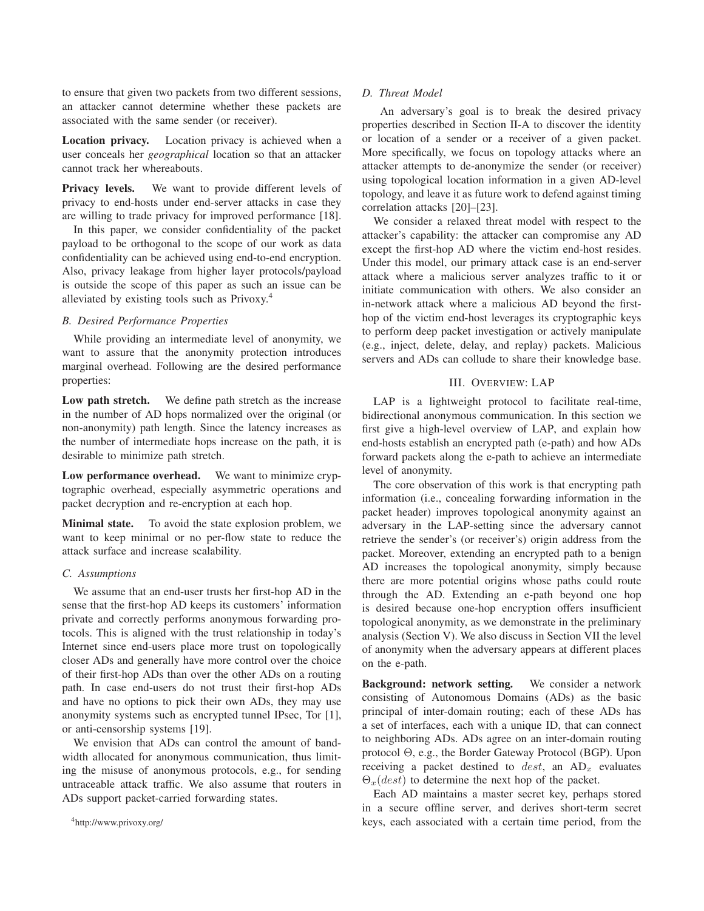to ensure that given two packets from two different sessions, an attacker cannot determine whether these packets are associated with the same sender (or receiver).

**Location privacy.** Location privacy is achieved when a user conceals her *geographical* location so that an attacker cannot track her whereabouts.

Privacy levels. We want to provide different levels of privacy to end-hosts under end-server attacks in case they are willing to trade privacy for improved performance [18].

In this paper, we consider confidentiality of the packet payload to be orthogonal to the scope of our work as data confidentiality can be achieved using end-to-end encryption. Also, privacy leakage from higher layer protocols/payload is outside the scope of this paper as such an issue can be alleviated by existing tools such as Privoxy.<sup>4</sup>

# *B. Desired Performance Properties*

While providing an intermediate level of anonymity, we want to assure that the anonymity protection introduces marginal overhead. Following are the desired performance properties:

Low path stretch. We define path stretch as the increase in the number of AD hops normalized over the original (or non-anonymity) path length. Since the latency increases as the number of intermediate hops increase on the path, it is desirable to minimize path stretch.

**Low performance overhead.** We want to minimize cryptographic overhead, especially asymmetric operations and packet decryption and re-encryption at each hop.

**Minimal state.** To avoid the state explosion problem, we want to keep minimal or no per-flow state to reduce the attack surface and increase scalability.

#### *C. Assumptions*

We assume that an end-user trusts her first-hop AD in the sense that the first-hop AD keeps its customers' information private and correctly performs anonymous forwarding protocols. This is aligned with the trust relationship in today's Internet since end-users place more trust on topologically closer ADs and generally have more control over the choice of their first-hop ADs than over the other ADs on a routing path. In case end-users do not trust their first-hop ADs and have no options to pick their own ADs, they may use anonymity systems such as encrypted tunnel IPsec, Tor [1], or anti-censorship systems [19].

We envision that ADs can control the amount of bandwidth allocated for anonymous communication, thus limiting the misuse of anonymous protocols, e.g., for sending untraceable attack traffic. We also assume that routers in ADs support packet-carried forwarding states.

## *D. Threat Model*

An adversary's goal is to break the desired privacy properties described in Section II-A to discover the identity or location of a sender or a receiver of a given packet. More specifically, we focus on topology attacks where an attacker attempts to de-anonymize the sender (or receiver) using topological location information in a given AD-level topology, and leave it as future work to defend against timing correlation attacks [20]–[23].

We consider a relaxed threat model with respect to the attacker's capability: the attacker can compromise any AD except the first-hop AD where the victim end-host resides. Under this model, our primary attack case is an end-server attack where a malicious server analyzes traffic to it or initiate communication with others. We also consider an in-network attack where a malicious AD beyond the firsthop of the victim end-host leverages its cryptographic keys to perform deep packet investigation or actively manipulate (e.g., inject, delete, delay, and replay) packets. Malicious servers and ADs can collude to share their knowledge base.

# III. OVERVIEW: LAP

LAP is a lightweight protocol to facilitate real-time, bidirectional anonymous communication. In this section we first give a high-level overview of LAP, and explain how end-hosts establish an encrypted path (e-path) and how ADs forward packets along the e-path to achieve an intermediate level of anonymity.

The core observation of this work is that encrypting path information (i.e., concealing forwarding information in the packet header) improves topological anonymity against an adversary in the LAP-setting since the adversary cannot retrieve the sender's (or receiver's) origin address from the packet. Moreover, extending an encrypted path to a benign AD increases the topological anonymity, simply because there are more potential origins whose paths could route through the AD. Extending an e-path beyond one hop is desired because one-hop encryption offers insufficient topological anonymity, as we demonstrate in the preliminary analysis (Section V). We also discuss in Section VII the level of anonymity when the adversary appears at different places on the e-path.

**Background: network setting.** We consider a network consisting of Autonomous Domains (ADs) as the basic principal of inter-domain routing; each of these ADs has a set of interfaces, each with a unique ID, that can connect to neighboring ADs. ADs agree on an inter-domain routing protocol Θ, e.g., the Border Gateway Protocol (BGP). Upon receiving a packet destined to  $dest$ , an  $AD_x$  evaluates  $\Theta_x$ (dest) to determine the next hop of the packet.

Each AD maintains a master secret key, perhaps stored in a secure offline server, and derives short-term secret keys, each associated with a certain time period, from the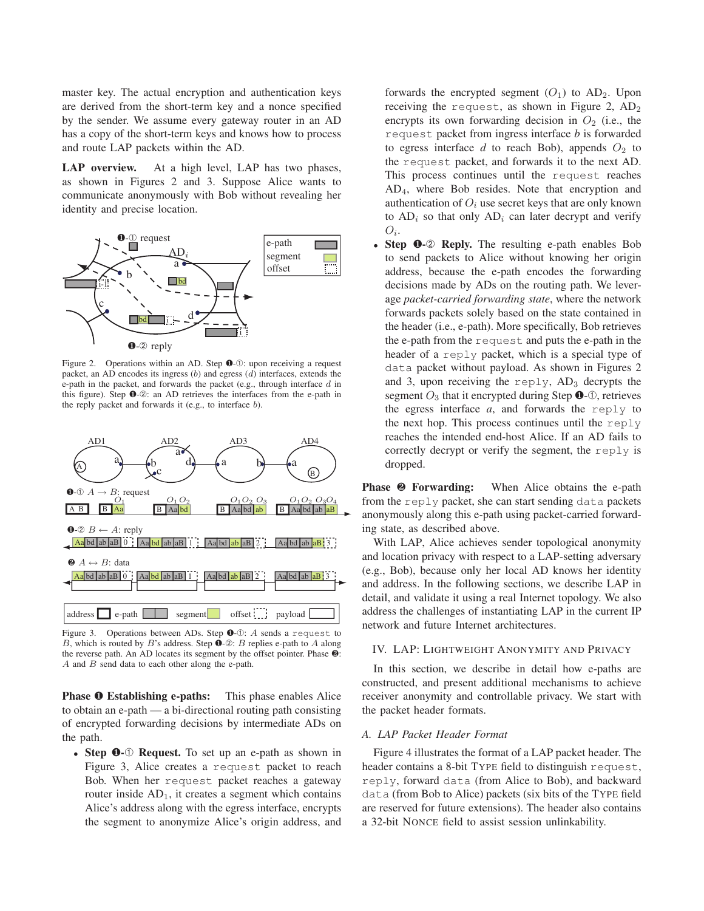master key. The actual encryption and authentication keys are derived from the short-term key and a nonce specified by the sender. We assume every gateway router in an AD has a copy of the short-term keys and knows how to process and route LAP packets within the AD.

**LAP overview.** At a high level, LAP has two phases, as shown in Figures 2 and 3. Suppose Alice wants to communicate anonymously with Bob without revealing her identity and precise location.



Figure 2. Operations within an AD. Step ❶-➀: upon receiving a request packet, an AD encodes its ingress  $(b)$  and egress  $(d)$  interfaces, extends the e-path in the packet, and forwards the packet (e.g., through interface d in this figure). Step  $\mathbf{0}$ - $\oslash$ : an AD retrieves the interfaces from the e-path in the reply packet and forwards it (e.g., to interface b).



Figure 3. Operations between ADs. Step  $\mathbf{0}$ - $\mathbf{0}$ : A sends a request to B, which is routed by B's address. Step  $\mathbf{0}$ - $\oslash$ : B replies e-path to A along the reverse path. An AD locates its segment by the offset pointer. Phase ❷: A and B send data to each other along the e-path.

**Phase** ❶ **Establishing e-paths:** This phase enables Alice to obtain an e-path — a bi-directional routing path consisting of encrypted forwarding decisions by intermediate ADs on the path.

• **Step** ❶**-**➀ **Request.** To set up an e-path as shown in Figure 3, Alice creates a request packet to reach Bob. When her request packet reaches a gateway router inside  $AD_1$ , it creates a segment which contains Alice's address along with the egress interface, encrypts the segment to anonymize Alice's origin address, and forwards the encrypted segment  $(O_1)$  to  $AD_2$ . Upon receiving the request, as shown in Figure 2, AD<sup>2</sup> encrypts its own forwarding decision in  $O_2$  (i.e., the request packet from ingress interface *b* is forwarded to egress interface  $d$  to reach Bob), appends  $O_2$  to the request packet, and forwards it to the next AD. This process continues until the request reaches AD4, where Bob resides. Note that encryption and authentication of  $O_i$  use secret keys that are only known to  $AD_i$  so that only  $AD_i$  can later decrypt and verify  $O_i$ .

• **Step** ❶**-**➁ **Reply.** The resulting e-path enables Bob to send packets to Alice without knowing her origin address, because the e-path encodes the forwarding decisions made by ADs on the routing path. We leverage *packet-carried forwarding state*, where the network forwards packets solely based on the state contained in the header (i.e., e-path). More specifically, Bob retrieves the e-path from the request and puts the e-path in the header of a reply packet, which is a special type of data packet without payload. As shown in Figures 2 and 3, upon receiving the reply,  $AD_3$  decrypts the segment  $O_3$  that it encrypted during Step  $\mathbf{0}$ -①, retrieves the egress interface *a*, and forwards the reply to the next hop. This process continues until the reply reaches the intended end-host Alice. If an AD fails to correctly decrypt or verify the segment, the reply is dropped.

**Phase** ❷ **Forwarding:** When Alice obtains the e-path from the reply packet, she can start sending data packets anonymously along this e-path using packet-carried forwarding state, as described above.

With LAP, Alice achieves sender topological anonymity and location privacy with respect to a LAP-setting adversary (e.g., Bob), because only her local AD knows her identity and address. In the following sections, we describe LAP in detail, and validate it using a real Internet topology. We also address the challenges of instantiating LAP in the current IP network and future Internet architectures.

## IV. LAP: LIGHTWEIGHT ANONYMITY AND PRIVACY

In this section, we describe in detail how e-paths are constructed, and present additional mechanisms to achieve receiver anonymity and controllable privacy. We start with the packet header formats.

# *A. LAP Packet Header Format*

Figure 4 illustrates the format of a LAP packet header. The header contains a 8-bit TYPE field to distinguish request, reply, forward data (from Alice to Bob), and backward data (from Bob to Alice) packets (six bits of the TYPE field are reserved for future extensions). The header also contains a 32-bit NONCE field to assist session unlinkability.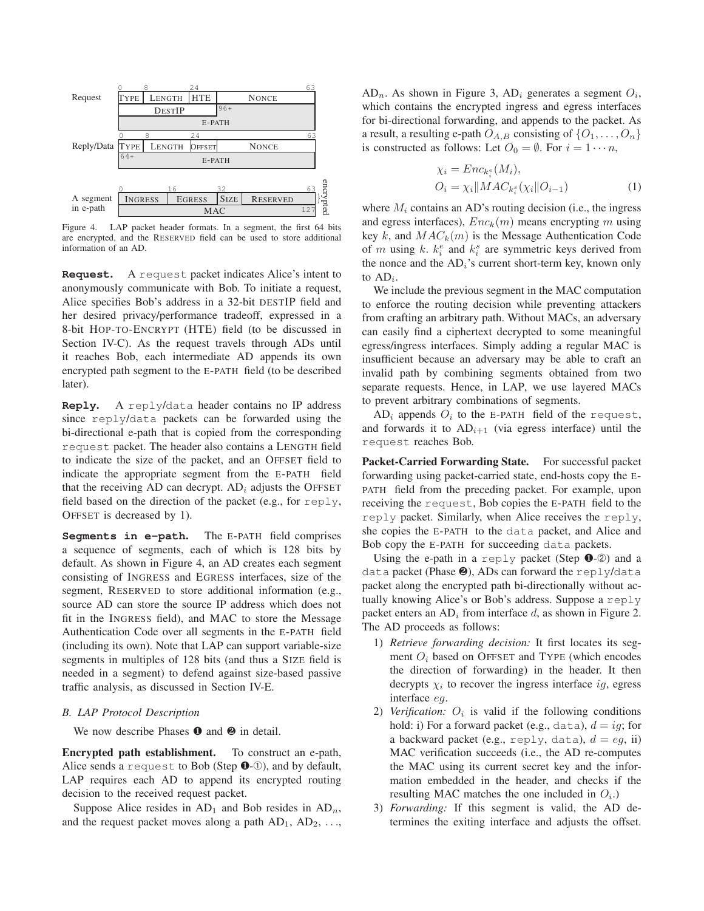

Figure 4. LAP packet header formats. In a segment, the first 64 bits are encrypted, and the RESERVED field can be used to store additional information of an AD.

**Request.** A request packet indicates Alice's intent to anonymously communicate with Bob. To initiate a request, Alice specifies Bob's address in a 32-bit DESTIP field and her desired privacy/performance tradeoff, expressed in a 8-bit HOP-TO-ENCRYPT (HTE) field (to be discussed in Section IV-C). As the request travels through ADs until it reaches Bob, each intermediate AD appends its own encrypted path segment to the E-PATH field (to be described later).

**Reply.** A reply/data header contains no IP address since reply/data packets can be forwarded using the bi-directional e-path that is copied from the corresponding request packet. The header also contains a LENGTH field to indicate the size of the packet, and an OFFSET field to indicate the appropriate segment from the E-PATH field that the receiving AD can decrypt.  $AD_i$  adjusts the OFFSET field based on the direction of the packet (e.g., for reply, OFFSET is decreased by 1).

**Segments in e-path.** The E-PATH field comprises a sequence of segments, each of which is 128 bits by default. As shown in Figure 4, an AD creates each segment consisting of INGRESS and EGRESS interfaces, size of the segment, RESERVED to store additional information (e.g., source AD can store the source IP address which does not fit in the INGRESS field), and MAC to store the Message Authentication Code over all segments in the E-PATH field (including its own). Note that LAP can support variable-size segments in multiples of 128 bits (and thus a SIZE field is needed in a segment) to defend against size-based passive traffic analysis, as discussed in Section IV-E.

#### *B. LAP Protocol Description*

We now describe Phases **O** and **@** in detail.

**Encrypted path establishment.** To construct an e-path, Alice sends a request to Bob (Step  $\bullet$ -①), and by default, LAP requires each AD to append its encrypted routing decision to the received request packet.

Suppose Alice resides in  $AD_1$  and Bob resides in  $AD_n$ , and the request packet moves along a path  $AD_1$ ,  $AD_2$ , ...,

 $AD_n$ . As shown in Figure 3,  $AD_i$  generates a segment  $O_i$ , which contains the encrypted ingress and egress interfaces for bi-directional forwarding, and appends to the packet. As a result, a resulting e-path  $O_{A,B}$  consisting of  $\{O_1, \ldots, O_n\}$ is constructed as follows: Let  $O_0 = \emptyset$ . For  $i = 1 \cdots n$ ,

$$
\chi_i = Enc_{k_i^e}(M_i),
$$
  
\n
$$
O_i = \chi_i || MAC_{k_i^s}(\chi_i || O_{i-1})
$$
\n(1)

where  $M_i$  contains an AD's routing decision (i.e., the ingress and egress interfaces),  $Enc_k(m)$  means encrypting m using key k, and  $MAC_k(m)$  is the Message Authentication Code of m using k.  $k_i^e$  and  $k_i^s$  are symmetric keys derived from the nonce and the  $AD_i$ 's current short-term key, known only to  $AD_i$ .

We include the previous segment in the MAC computation to enforce the routing decision while preventing attackers from crafting an arbitrary path. Without MACs, an adversary can easily find a ciphertext decrypted to some meaningful egress/ingress interfaces. Simply adding a regular MAC is insufficient because an adversary may be able to craft an invalid path by combining segments obtained from two separate requests. Hence, in LAP, we use layered MACs to prevent arbitrary combinations of segments.

 $AD_i$  appends  $O_i$  to the E-PATH field of the request, and forwards it to  $AD_{i+1}$  (via egress interface) until the request reaches Bob.

Packet-Carried Forwarding State. For successful packet forwarding using packet-carried state, end-hosts copy the E-PATH field from the preceding packet. For example, upon receiving the request, Bob copies the E-PATH field to the reply packet. Similarly, when Alice receives the reply, she copies the E-PATH to the data packet, and Alice and Bob copy the E-PATH for succeeding data packets.

Using the e-path in a reply packet (Step  $\bullet$ –②) and a data packet (Phase <sup>2</sup>), ADs can forward the reply/data packet along the encrypted path bi-directionally without actually knowing Alice's or Bob's address. Suppose a reply packet enters an  $AD_i$  from interface d, as shown in Figure 2. The AD proceeds as follows:

- 1) *Retrieve forwarding decision:* It first locates its segment  $O_i$  based on OFFSET and TYPE (which encodes the direction of forwarding) in the header. It then decrypts  $\chi_i$  to recover the ingress interface ig, egress interface eg.
- 2) Verification:  $O_i$  is valid if the following conditions hold: i) For a forward packet (e.g., data),  $d = ig$ ; for a backward packet (e.g., reply, data),  $d = eg$ , ii) MAC verification succeeds (i.e., the AD re-computes the MAC using its current secret key and the information embedded in the header, and checks if the resulting MAC matches the one included in  $O_i$ .)
- 3) *Forwarding:* If this segment is valid, the AD determines the exiting interface and adjusts the offset.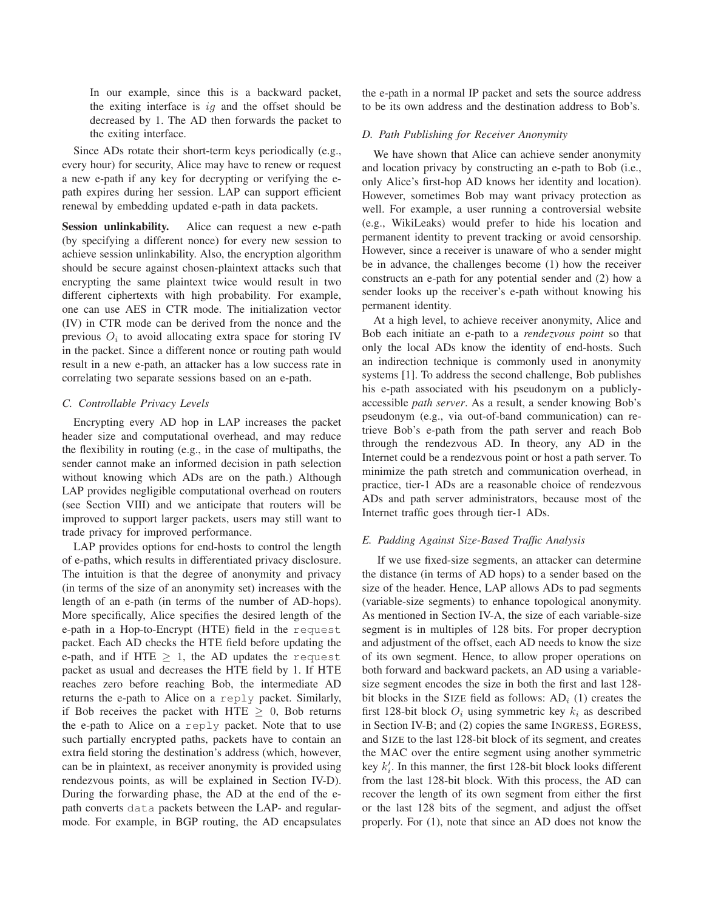In our example, since this is a backward packet, the exiting interface is  $ig$  and the offset should be decreased by 1. The AD then forwards the packet to the exiting interface.

Since ADs rotate their short-term keys periodically (e.g., every hour) for security, Alice may have to renew or request a new e-path if any key for decrypting or verifying the epath expires during her session. LAP can support efficient renewal by embedding updated e-path in data packets.

**Session unlinkability.** Alice can request a new e-path (by specifying a different nonce) for every new session to achieve session unlinkability. Also, the encryption algorithm should be secure against chosen-plaintext attacks such that encrypting the same plaintext twice would result in two different ciphertexts with high probability. For example, one can use AES in CTR mode. The initialization vector (IV) in CTR mode can be derived from the nonce and the previous  $O_i$  to avoid allocating extra space for storing IV in the packet. Since a different nonce or routing path would result in a new e-path, an attacker has a low success rate in correlating two separate sessions based on an e-path.

## *C. Controllable Privacy Levels*

Encrypting every AD hop in LAP increases the packet header size and computational overhead, and may reduce the flexibility in routing (e.g., in the case of multipaths, the sender cannot make an informed decision in path selection without knowing which ADs are on the path.) Although LAP provides negligible computational overhead on routers (see Section VIII) and we anticipate that routers will be improved to support larger packets, users may still want to trade privacy for improved performance.

LAP provides options for end-hosts to control the length of e-paths, which results in differentiated privacy disclosure. The intuition is that the degree of anonymity and privacy (in terms of the size of an anonymity set) increases with the length of an e-path (in terms of the number of AD-hops). More specifically, Alice specifies the desired length of the e-path in a Hop-to-Encrypt (HTE) field in the request packet. Each AD checks the HTE field before updating the e-path, and if HTE  $\geq$  1, the AD updates the request packet as usual and decreases the HTE field by 1. If HTE reaches zero before reaching Bob, the intermediate AD returns the e-path to Alice on a reply packet. Similarly, if Bob receives the packet with HTE  $\geq$  0, Bob returns the e-path to Alice on a reply packet. Note that to use such partially encrypted paths, packets have to contain an extra field storing the destination's address (which, however, can be in plaintext, as receiver anonymity is provided using rendezvous points, as will be explained in Section IV-D). During the forwarding phase, the AD at the end of the epath converts data packets between the LAP- and regularmode. For example, in BGP routing, the AD encapsulates the e-path in a normal IP packet and sets the source address to be its own address and the destination address to Bob's.

# *D. Path Publishing for Receiver Anonymity*

We have shown that Alice can achieve sender anonymity and location privacy by constructing an e-path to Bob (i.e., only Alice's first-hop AD knows her identity and location). However, sometimes Bob may want privacy protection as well. For example, a user running a controversial website (e.g., WikiLeaks) would prefer to hide his location and permanent identity to prevent tracking or avoid censorship. However, since a receiver is unaware of who a sender might be in advance, the challenges become (1) how the receiver constructs an e-path for any potential sender and (2) how a sender looks up the receiver's e-path without knowing his permanent identity.

At a high level, to achieve receiver anonymity, Alice and Bob each initiate an e-path to a *rendezvous point* so that only the local ADs know the identity of end-hosts. Such an indirection technique is commonly used in anonymity systems [1]. To address the second challenge, Bob publishes his e-path associated with his pseudonym on a publiclyaccessible *path server*. As a result, a sender knowing Bob's pseudonym (e.g., via out-of-band communication) can retrieve Bob's e-path from the path server and reach Bob through the rendezvous AD. In theory, any AD in the Internet could be a rendezvous point or host a path server. To minimize the path stretch and communication overhead, in practice, tier-1 ADs are a reasonable choice of rendezvous ADs and path server administrators, because most of the Internet traffic goes through tier-1 ADs.

#### *E. Padding Against Size-Based Traffic Analysis*

If we use fixed-size segments, an attacker can determine the distance (in terms of AD hops) to a sender based on the size of the header. Hence, LAP allows ADs to pad segments (variable-size segments) to enhance topological anonymity. As mentioned in Section IV-A, the size of each variable-size segment is in multiples of 128 bits. For proper decryption and adjustment of the offset, each AD needs to know the size of its own segment. Hence, to allow proper operations on both forward and backward packets, an AD using a variablesize segment encodes the size in both the first and last 128 bit blocks in the SIZE field as follows:  $AD_i$  (1) creates the first 128-bit block  $O_i$  using symmetric key  $k_i$  as described in Section IV-B; and (2) copies the same INGRESS, EGRESS, and SIZE to the last 128-bit block of its segment, and creates the MAC over the entire segment using another symmetric key  $k'_i$ . In this manner, the first 128-bit block looks different from the last 128-bit block. With this process, the AD can recover the length of its own segment from either the first or the last 128 bits of the segment, and adjust the offset properly. For (1), note that since an AD does not know the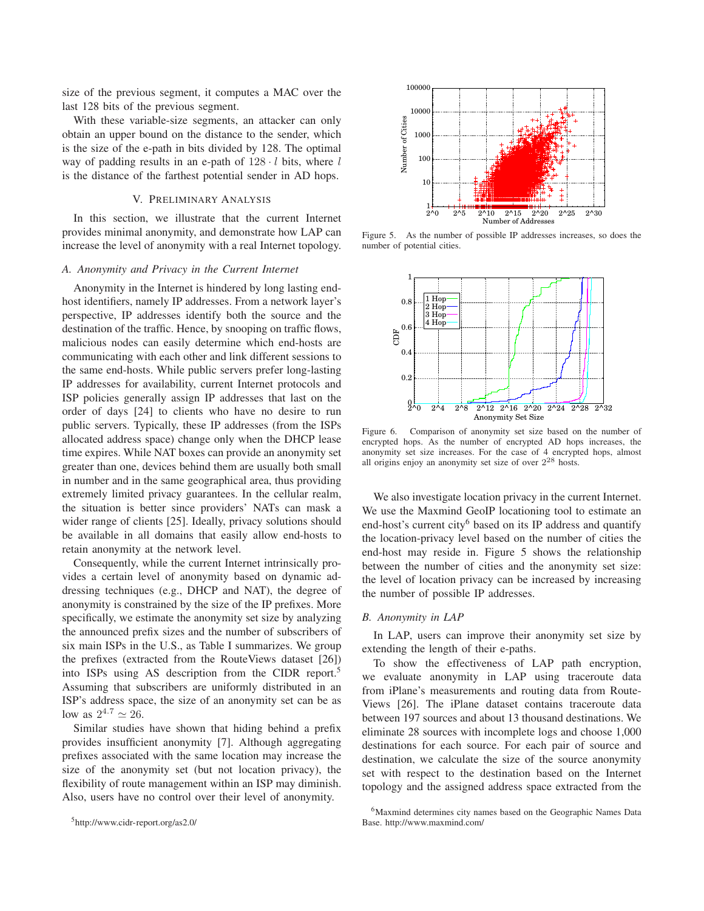size of the previous segment, it computes a MAC over the last 128 bits of the previous segment.

With these variable-size segments, an attacker can only obtain an upper bound on the distance to the sender, which is the size of the e-path in bits divided by 128. The optimal way of padding results in an e-path of  $128 \cdot l$  bits, where l is the distance of the farthest potential sender in AD hops.

#### V. PRELIMINARY ANALYSIS

In this section, we illustrate that the current Internet provides minimal anonymity, and demonstrate how LAP can increase the level of anonymity with a real Internet topology.

#### *A. Anonymity and Privacy in the Current Internet*

Anonymity in the Internet is hindered by long lasting endhost identifiers, namely IP addresses. From a network layer's perspective, IP addresses identify both the source and the destination of the traffic. Hence, by snooping on traffic flows, malicious nodes can easily determine which end-hosts are communicating with each other and link different sessions to the same end-hosts. While public servers prefer long-lasting IP addresses for availability, current Internet protocols and ISP policies generally assign IP addresses that last on the order of days [24] to clients who have no desire to run public servers. Typically, these IP addresses (from the ISPs allocated address space) change only when the DHCP lease time expires. While NAT boxes can provide an anonymity set greater than one, devices behind them are usually both small in number and in the same geographical area, thus providing extremely limited privacy guarantees. In the cellular realm, the situation is better since providers' NATs can mask a wider range of clients [25]. Ideally, privacy solutions should be available in all domains that easily allow end-hosts to retain anonymity at the network level.

Consequently, while the current Internet intrinsically provides a certain level of anonymity based on dynamic addressing techniques (e.g., DHCP and NAT), the degree of anonymity is constrained by the size of the IP prefixes. More specifically, we estimate the anonymity set size by analyzing the announced prefix sizes and the number of subscribers of six main ISPs in the U.S., as Table I summarizes. We group the prefixes (extracted from the RouteViews dataset [26]) into ISPs using AS description from the CIDR report.<sup>5</sup> Assuming that subscribers are uniformly distributed in an ISP's address space, the size of an anonymity set can be as low as  $2^{4.7} \simeq 26$ .

Similar studies have shown that hiding behind a prefix provides insufficient anonymity [7]. Although aggregating prefixes associated with the same location may increase the size of the anonymity set (but not location privacy), the flexibility of route management within an ISP may diminish. Also, users have no control over their level of anonymity.





Figure 5. As the number of possible IP addresses increases, so does the number of potential cities.



Figure 6. Comparison of anonymity set size based on the number of encrypted hops. As the number of encrypted AD hops increases, the anonymity set size increases. For the case of 4 encrypted hops, almost all origins enjoy an anonymity set size of over  $2^{28}$  hosts.

We also investigate location privacy in the current Internet. We use the Maxmind GeoIP locationing tool to estimate an end-host's current city<sup>6</sup> based on its IP address and quantify the location-privacy level based on the number of cities the end-host may reside in. Figure 5 shows the relationship between the number of cities and the anonymity set size: the level of location privacy can be increased by increasing the number of possible IP addresses.

#### *B. Anonymity in LAP*

In LAP, users can improve their anonymity set size by extending the length of their e-paths.

To show the effectiveness of LAP path encryption, we evaluate anonymity in LAP using traceroute data from iPlane's measurements and routing data from Route-Views [26]. The iPlane dataset contains traceroute data between 197 sources and about 13 thousand destinations. We eliminate 28 sources with incomplete logs and choose 1,000 destinations for each source. For each pair of source and destination, we calculate the size of the source anonymity set with respect to the destination based on the Internet topology and the assigned address space extracted from the

<sup>6</sup>Maxmind determines city names based on the Geographic Names Data Base. http://www.maxmind.com/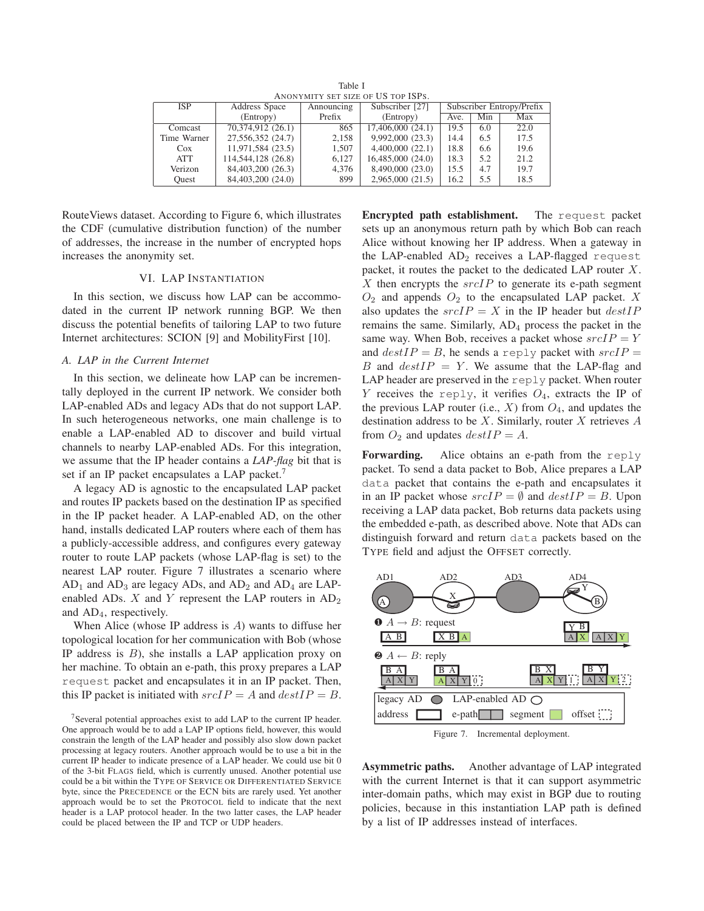| ANON YMLLY SET SIZE OF US TOP ISPS. |                    |            |                   |                           |     |      |  |  |  |  |  |
|-------------------------------------|--------------------|------------|-------------------|---------------------------|-----|------|--|--|--|--|--|
| <b>ISP</b>                          | Address Space      | Announcing | Subscriber [27]   | Subscriber Entropy/Prefix |     |      |  |  |  |  |  |
|                                     | (Entropy)          | Prefix     | (Entropy)         | Ave.                      | Min | Max  |  |  |  |  |  |
| Comcast                             | 70,374,912 (26.1)  | 865        | 17,406,000 (24.1) | 19.5                      | 6.0 | 22.0 |  |  |  |  |  |
| Time Warner                         | 27,556,352 (24.7)  | 2,158      | 9,992,000 (23.3)  | 14.4                      | 6.5 | 17.5 |  |  |  |  |  |
| $\cos$                              | 11,971,584 (23.5)  | 1,507      | 4,400,000(22.1)   | 18.8                      | 6.6 | 19.6 |  |  |  |  |  |
| <b>ATT</b>                          | 114,544,128 (26.8) | 6,127      | 16,485,000 (24.0) | 18.3                      | 5.2 | 21.2 |  |  |  |  |  |
| Verizon                             | 84,403,200 (26.3)  | 4,376      | 8,490,000 (23.0)  | 15.5                      | 4.7 | 19.7 |  |  |  |  |  |
| Ouest                               | 84,403,200 (24.0)  | 899        | 2,965,000(21.5)   | 16.2                      | 5.5 | 18.5 |  |  |  |  |  |

Table I ANONYMITY SET SIZE OF US TOP ISPS.

RouteViews dataset. According to Figure 6, which illustrates the CDF (cumulative distribution function) of the number of addresses, the increase in the number of encrypted hops increases the anonymity set.

## VI. LAP INSTANTIATION

In this section, we discuss how LAP can be accommodated in the current IP network running BGP. We then discuss the potential benefits of tailoring LAP to two future Internet architectures: SCION [9] and MobilityFirst [10].

# *A. LAP in the Current Internet*

In this section, we delineate how LAP can be incrementally deployed in the current IP network. We consider both LAP-enabled ADs and legacy ADs that do not support LAP. In such heterogeneous networks, one main challenge is to enable a LAP-enabled AD to discover and build virtual channels to nearby LAP-enabled ADs. For this integration, we assume that the IP header contains a *LAP-flag* bit that is set if an IP packet encapsulates a LAP packet.<sup>7</sup>

A legacy AD is agnostic to the encapsulated LAP packet and routes IP packets based on the destination IP as specified in the IP packet header. A LAP-enabled AD, on the other hand, installs dedicated LAP routers where each of them has a publicly-accessible address, and configures every gateway router to route LAP packets (whose LAP-flag is set) to the nearest LAP router. Figure 7 illustrates a scenario where  $AD_1$  and  $AD_3$  are legacy ADs, and  $AD_2$  and  $AD_4$  are LAPenabled ADs.  $X$  and  $Y$  represent the LAP routers in  $AD<sub>2</sub>$ and AD4, respectively.

When Alice (whose IP address is  $A$ ) wants to diffuse her topological location for her communication with Bob (whose IP address is  $B$ ), she installs a LAP application proxy on her machine. To obtain an e-path, this proxy prepares a LAP request packet and encapsulates it in an IP packet. Then, this IP packet is initiated with  $srcIP = A$  and  $destIP = B$ . **Encrypted path establishment.** The request packet sets up an anonymous return path by which Bob can reach Alice without knowing her IP address. When a gateway in the LAP-enabled  $AD_2$  receives a LAP-flagged request packet, it routes the packet to the dedicated LAP router X.  $X$  then encrypts the  $srcIP$  to generate its e-path segment  $O_2$  and appends  $O_2$  to the encapsulated LAP packet. X also updates the  $srcIP = X$  in the IP header but  $destIP$ remains the same. Similarly, AD<sup>4</sup> process the packet in the same way. When Bob, receives a packet whose  $srcIP = Y$ and  $destIP = B$ , he sends a reply packet with  $srcIP =$ B and  $destIP = Y$ . We assume that the LAP-flag and LAP header are preserved in the reply packet. When router Y receives the reply, it verifies  $O_4$ , extracts the IP of the previous LAP router (i.e.,  $X$ ) from  $O_4$ , and updates the destination address to be  $X$ . Similarly, router  $X$  retrieves  $A$ from  $O_2$  and updates  $destIP = A$ .

**Forwarding.** Alice obtains an e-path from the reply packet. To send a data packet to Bob, Alice prepares a LAP data packet that contains the e-path and encapsulates it in an IP packet whose  $srcIP = \emptyset$  and  $destIP = B$ . Upon receiving a LAP data packet, Bob returns data packets using the embedded e-path, as described above. Note that ADs can distinguish forward and return data packets based on the TYPE field and adjust the OFFSET correctly.



**Asymmetric paths.** Another advantage of LAP integrated with the current Internet is that it can support asymmetric inter-domain paths, which may exist in BGP due to routing policies, because in this instantiation LAP path is defined by a list of IP addresses instead of interfaces.

<sup>7</sup>Several potential approaches exist to add LAP to the current IP header. One approach would be to add a LAP IP options field, however, this would constrain the length of the LAP header and possibly also slow down packet processing at legacy routers. Another approach would be to use a bit in the current IP header to indicate presence of a LAP header. We could use bit 0 of the 3-bit FLAGS field, which is currently unused. Another potential use could be a bit within the TYPE OF SERVICE OR DIFFERENTIATED SERVICE byte, since the PRECEDENCE or the ECN bits are rarely used. Yet another approach would be to set the PROTOCOL field to indicate that the next header is a LAP protocol header. In the two latter cases, the LAP header could be placed between the IP and TCP or UDP headers.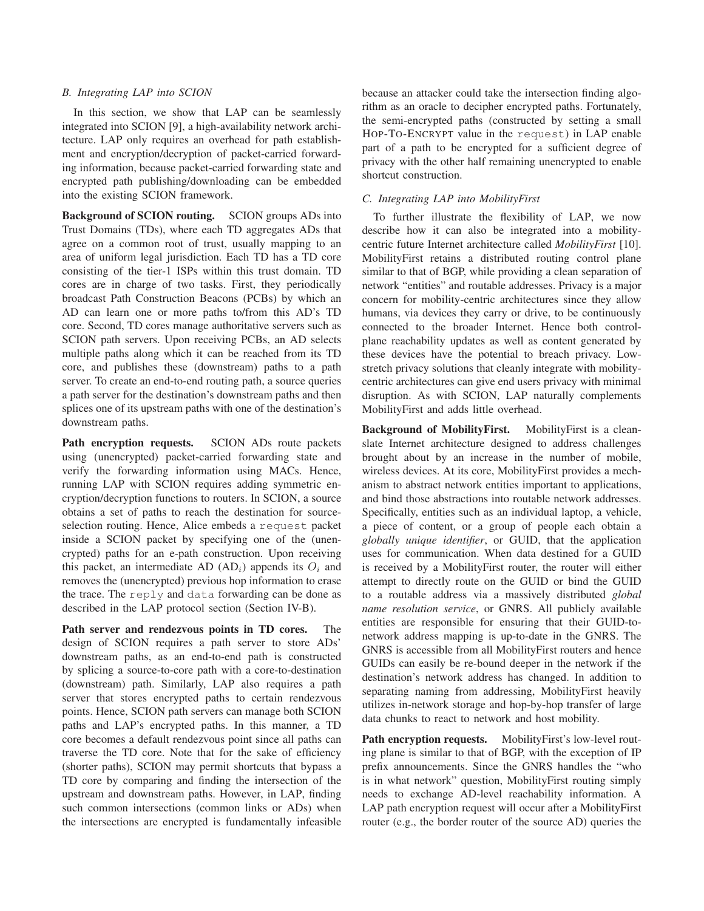# *B. Integrating LAP into SCION*

In this section, we show that LAP can be seamlessly integrated into SCION [9], a high-availability network architecture. LAP only requires an overhead for path establishment and encryption/decryption of packet-carried forwarding information, because packet-carried forwarding state and encrypted path publishing/downloading can be embedded into the existing SCION framework.

**Background of SCION routing.** SCION groups ADs into Trust Domains (TDs), where each TD aggregates ADs that agree on a common root of trust, usually mapping to an area of uniform legal jurisdiction. Each TD has a TD core consisting of the tier-1 ISPs within this trust domain. TD cores are in charge of two tasks. First, they periodically broadcast Path Construction Beacons (PCBs) by which an AD can learn one or more paths to/from this AD's TD core. Second, TD cores manage authoritative servers such as SCION path servers. Upon receiving PCBs, an AD selects multiple paths along which it can be reached from its TD core, and publishes these (downstream) paths to a path server. To create an end-to-end routing path, a source queries a path server for the destination's downstream paths and then splices one of its upstream paths with one of the destination's downstream paths.

Path encryption requests. SCION ADs route packets using (unencrypted) packet-carried forwarding state and verify the forwarding information using MACs. Hence, running LAP with SCION requires adding symmetric encryption/decryption functions to routers. In SCION, a source obtains a set of paths to reach the destination for sourceselection routing. Hence, Alice embeds a request packet inside a SCION packet by specifying one of the (unencrypted) paths for an e-path construction. Upon receiving this packet, an intermediate AD  $(AD_i)$  appends its  $O_i$  and removes the (unencrypted) previous hop information to erase the trace. The reply and data forwarding can be done as described in the LAP protocol section (Section IV-B).

**Path server and rendezvous points in TD cores.** The design of SCION requires a path server to store ADs' downstream paths, as an end-to-end path is constructed by splicing a source-to-core path with a core-to-destination (downstream) path. Similarly, LAP also requires a path server that stores encrypted paths to certain rendezvous points. Hence, SCION path servers can manage both SCION paths and LAP's encrypted paths. In this manner, a TD core becomes a default rendezvous point since all paths can traverse the TD core. Note that for the sake of efficiency (shorter paths), SCION may permit shortcuts that bypass a TD core by comparing and finding the intersection of the upstream and downstream paths. However, in LAP, finding such common intersections (common links or ADs) when the intersections are encrypted is fundamentally infeasible because an attacker could take the intersection finding algorithm as an oracle to decipher encrypted paths. Fortunately, the semi-encrypted paths (constructed by setting a small HOP-TO-ENCRYPT value in the request) in LAP enable part of a path to be encrypted for a sufficient degree of privacy with the other half remaining unencrypted to enable shortcut construction.

# *C. Integrating LAP into MobilityFirst*

To further illustrate the flexibility of LAP, we now describe how it can also be integrated into a mobilitycentric future Internet architecture called *MobilityFirst* [10]. MobilityFirst retains a distributed routing control plane similar to that of BGP, while providing a clean separation of network "entities" and routable addresses. Privacy is a major concern for mobility-centric architectures since they allow humans, via devices they carry or drive, to be continuously connected to the broader Internet. Hence both controlplane reachability updates as well as content generated by these devices have the potential to breach privacy. Lowstretch privacy solutions that cleanly integrate with mobilitycentric architectures can give end users privacy with minimal disruption. As with SCION, LAP naturally complements MobilityFirst and adds little overhead.

**Background of MobilityFirst.** MobilityFirst is a cleanslate Internet architecture designed to address challenges brought about by an increase in the number of mobile, wireless devices. At its core, MobilityFirst provides a mechanism to abstract network entities important to applications, and bind those abstractions into routable network addresses. Specifically, entities such as an individual laptop, a vehicle, a piece of content, or a group of people each obtain a *globally unique identifier*, or GUID, that the application uses for communication. When data destined for a GUID is received by a MobilityFirst router, the router will either attempt to directly route on the GUID or bind the GUID to a routable address via a massively distributed *global name resolution service*, or GNRS. All publicly available entities are responsible for ensuring that their GUID-tonetwork address mapping is up-to-date in the GNRS. The GNRS is accessible from all MobilityFirst routers and hence GUIDs can easily be re-bound deeper in the network if the destination's network address has changed. In addition to separating naming from addressing, MobilityFirst heavily utilizes in-network storage and hop-by-hop transfer of large data chunks to react to network and host mobility.

Path encryption requests. MobilityFirst's low-level routing plane is similar to that of BGP, with the exception of IP prefix announcements. Since the GNRS handles the "who is in what network" question, MobilityFirst routing simply needs to exchange AD-level reachability information. A LAP path encryption request will occur after a MobilityFirst router (e.g., the border router of the source AD) queries the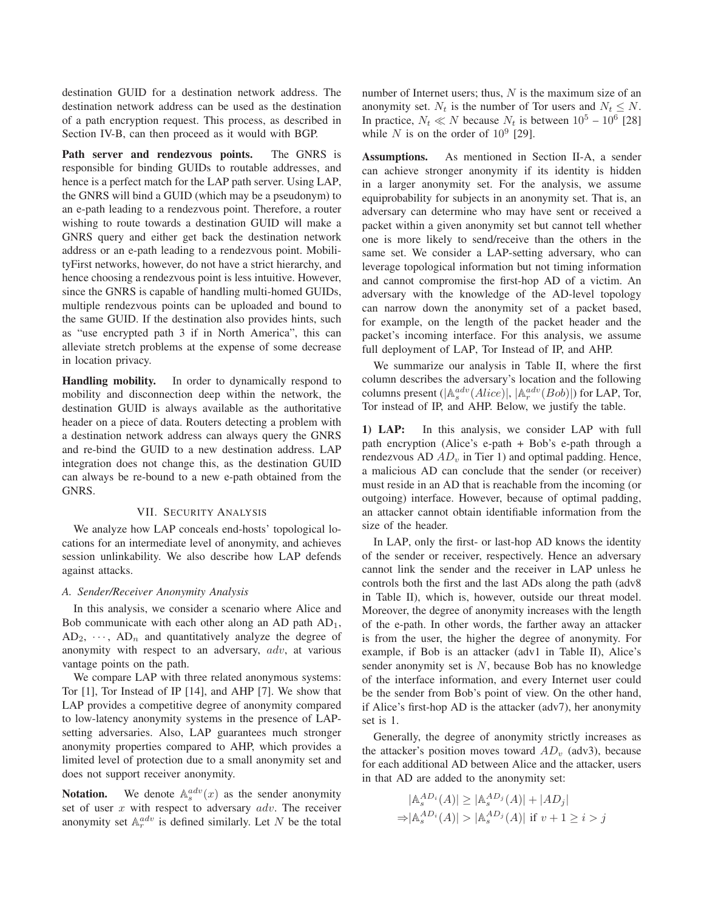destination GUID for a destination network address. The destination network address can be used as the destination of a path encryption request. This process, as described in Section IV-B, can then proceed as it would with BGP.

**Path server and rendezvous points.** The GNRS is responsible for binding GUIDs to routable addresses, and hence is a perfect match for the LAP path server. Using LAP, the GNRS will bind a GUID (which may be a pseudonym) to an e-path leading to a rendezvous point. Therefore, a router wishing to route towards a destination GUID will make a GNRS query and either get back the destination network address or an e-path leading to a rendezvous point. MobilityFirst networks, however, do not have a strict hierarchy, and hence choosing a rendezvous point is less intuitive. However, since the GNRS is capable of handling multi-homed GUIDs, multiple rendezvous points can be uploaded and bound to the same GUID. If the destination also provides hints, such as "use encrypted path 3 if in North America", this can alleviate stretch problems at the expense of some decrease in location privacy.

**Handling mobility.** In order to dynamically respond to mobility and disconnection deep within the network, the destination GUID is always available as the authoritative header on a piece of data. Routers detecting a problem with a destination network address can always query the GNRS and re-bind the GUID to a new destination address. LAP integration does not change this, as the destination GUID can always be re-bound to a new e-path obtained from the GNRS.

#### VII. SECURITY ANALYSIS

We analyze how LAP conceals end-hosts' topological locations for an intermediate level of anonymity, and achieves session unlinkability. We also describe how LAP defends against attacks.

#### *A. Sender/Receiver Anonymity Analysis*

In this analysis, we consider a scenario where Alice and Bob communicate with each other along an AD path  $AD_1$ ,  $AD_2, \dots, AD_n$  and quantitatively analyze the degree of anonymity with respect to an adversary, adv, at various vantage points on the path.

We compare LAP with three related anonymous systems: Tor [1], Tor Instead of IP [14], and AHP [7]. We show that LAP provides a competitive degree of anonymity compared to low-latency anonymity systems in the presence of LAPsetting adversaries. Also, LAP guarantees much stronger anonymity properties compared to AHP, which provides a limited level of protection due to a small anonymity set and does not support receiver anonymity.

**Notation.** We denote  $\mathbb{A}_s^{adv}(x)$  as the sender anonymity set of user  $x$  with respect to adversary  $adv$ . The receiver anonymity set  $\mathbb{A}_r^{adv}$  is defined similarly. Let N be the total

number of Internet users; thus,  $N$  is the maximum size of an anonymity set.  $N_t$  is the number of Tor users and  $N_t \leq N$ . In practice,  $N_t \ll N$  because  $N_t$  is between  $10^5 - 10^6$  [28] while N is on the order of  $10^9$  [29].

**Assumptions.** As mentioned in Section II-A, a sender can achieve stronger anonymity if its identity is hidden in a larger anonymity set. For the analysis, we assume equiprobability for subjects in an anonymity set. That is, an adversary can determine who may have sent or received a packet within a given anonymity set but cannot tell whether one is more likely to send/receive than the others in the same set. We consider a LAP-setting adversary, who can leverage topological information but not timing information and cannot compromise the first-hop AD of a victim. An adversary with the knowledge of the AD-level topology can narrow down the anonymity set of a packet based, for example, on the length of the packet header and the packet's incoming interface. For this analysis, we assume full deployment of LAP, Tor Instead of IP, and AHP.

We summarize our analysis in Table II, where the first column describes the adversary's location and the following columns present  $(|\mathbb{A}_s^{adv}(Alice)|, |\mathbb{A}_r^{adv}(Bob)|)$  for LAP, Tor, Tor instead of IP, and AHP. Below, we justify the table.

**1) LAP:** In this analysis, we consider LAP with full path encryption (Alice's e-path + Bob's e-path through a rendezvous AD  $AD<sub>v</sub>$  in Tier 1) and optimal padding. Hence, a malicious AD can conclude that the sender (or receiver) must reside in an AD that is reachable from the incoming (or outgoing) interface. However, because of optimal padding, an attacker cannot obtain identifiable information from the size of the header.

In LAP, only the first- or last-hop AD knows the identity of the sender or receiver, respectively. Hence an adversary cannot link the sender and the receiver in LAP unless he controls both the first and the last ADs along the path (adv8 in Table II), which is, however, outside our threat model. Moreover, the degree of anonymity increases with the length of the e-path. In other words, the farther away an attacker is from the user, the higher the degree of anonymity. For example, if Bob is an attacker (adv1 in Table II), Alice's sender anonymity set is  $N$ , because Bob has no knowledge of the interface information, and every Internet user could be the sender from Bob's point of view. On the other hand, if Alice's first-hop AD is the attacker (adv7), her anonymity set is 1.

Generally, the degree of anonymity strictly increases as the attacker's position moves toward  $AD<sub>v</sub>$  (adv3), because for each additional AD between Alice and the attacker, users in that AD are added to the anonymity set:

$$
|A_s^{AD_i}(A)| \ge |A_s^{AD_j}(A)| + |AD_j|
$$
  
\n
$$
\Rightarrow |A_s^{AD_i}(A)| > |A_s^{AD_j}(A)| \text{ if } v+1 \ge i > j
$$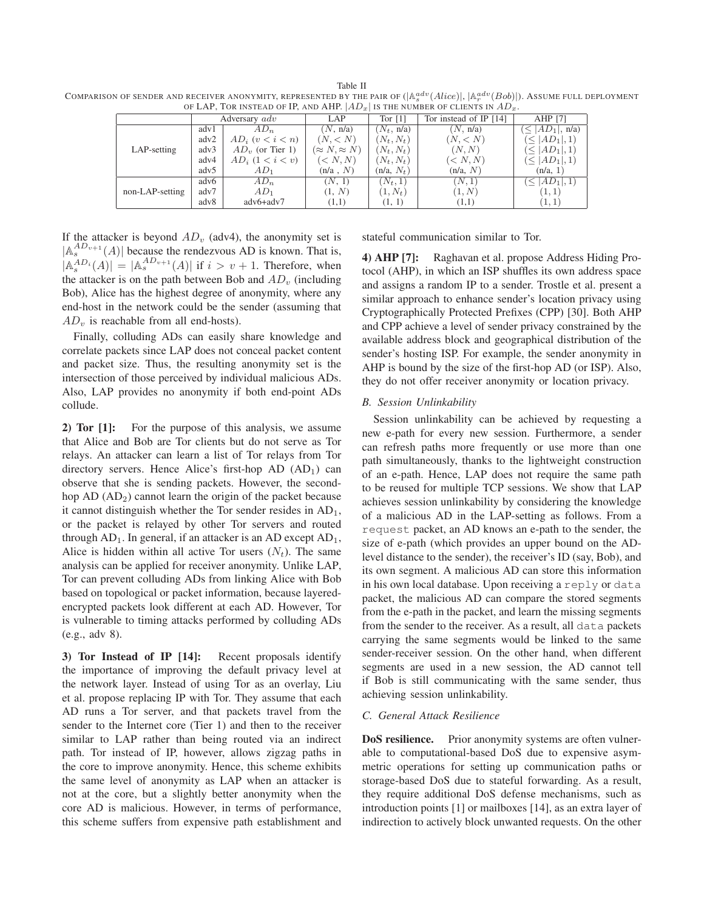Table II COMPARISON OF SENDER AND RECEIVER ANONYMITY, REPRESENTED BY THE PAIR OF  $(|\mathbb{A}_s^{adv}(Alice)|, |\mathbb{A}_r^{adv}(Bob)|)$ . Assume full deployment OF LAP, TOR INSTEAD OF IP, AND AHP.  $|AD_x|$  is the number of clients in  $AD_x$ .

|                 | Adversary $adv$  |                      | LAP                      | Tor $[1]$    | Tor instead of IP [14] | <b>AHP [7]</b>   |  |  |  |  |
|-----------------|------------------|----------------------|--------------------------|--------------|------------------------|------------------|--|--|--|--|
| LAP-setting     | adv1             | $AD_n$               | (N, n/a)                 | $(N_t, n/a)$ | (N, n/a)               | $ AD_1 $ , n/a)  |  |  |  |  |
|                 | adv2             | $AD_i$ $(v < i < n)$ | (N,< N)                  | $(N_t, N_t)$ | (N,< N)                | $AD_1$ , 1)      |  |  |  |  |
|                 | adv3             | $AD_v$ (or Tier 1)   | $(\approx N, \approx N)$ | $(N_t, N_t)$ | (N, N)                 | $AD_1, 1)$       |  |  |  |  |
|                 | adv4             | $AD_i$ $(1 < i < v)$ | (< N, N)                 | $(N_t, N_t)$ | $\leq N, N$            | $\leq  AD_1 , 1$ |  |  |  |  |
|                 | adv <sub>5</sub> | $AD_1$               | $(n/a \, , \, N)$        | $(n/a, N_t)$ | (n/a, N)               | (n/a, 1)         |  |  |  |  |
| non-LAP-setting | adv6             | $AD_n$               | (N, 1)                   | $(N_t, 1)$   | (N, 1)                 | $AD_1$ , 1)      |  |  |  |  |
|                 | adv7             | $AD_1$               | (1, N)                   | $(1,N_t)$    | (1,N)                  | (1,1)            |  |  |  |  |
|                 | adv8             | $adv6 + adv7$        | (1,1)                    | (1, 1)       | (1,1)                  | 1, 1             |  |  |  |  |

If the attacker is beyond  $AD<sub>v</sub>$  (adv4), the anonymity set is  $|\mathbb{A}_s^{AD_{v+1}}(A)|$  because the rendezvous AD is known. That is,  $|\mathbb{A}_s^{AD_i}(A)| = |\mathbb{A}_s^{AD_{v+1}}(A)|$  if  $i > v + 1$ . Therefore, when the attacker is on the path between Bob and  $AD<sub>v</sub>$  (including Bob), Alice has the highest degree of anonymity, where any end-host in the network could be the sender (assuming that  $AD<sub>v</sub>$  is reachable from all end-hosts).

Finally, colluding ADs can easily share knowledge and correlate packets since LAP does not conceal packet content and packet size. Thus, the resulting anonymity set is the intersection of those perceived by individual malicious ADs. Also, LAP provides no anonymity if both end-point ADs collude.

**2) Tor [1]:** For the purpose of this analysis, we assume that Alice and Bob are Tor clients but do not serve as Tor relays. An attacker can learn a list of Tor relays from Tor directory servers. Hence Alice's first-hop AD  $(AD<sub>1</sub>)$  can observe that she is sending packets. However, the secondhop  $AD (AD<sub>2</sub>)$  cannot learn the origin of the packet because it cannot distinguish whether the Tor sender resides in AD1, or the packet is relayed by other Tor servers and routed through  $AD_1$ . In general, if an attacker is an AD except  $AD_1$ , Alice is hidden within all active Tor users  $(N_t)$ . The same analysis can be applied for receiver anonymity. Unlike LAP, Tor can prevent colluding ADs from linking Alice with Bob based on topological or packet information, because layeredencrypted packets look different at each AD. However, Tor is vulnerable to timing attacks performed by colluding ADs (e.g., adv 8).

**3) Tor Instead of IP [14]:** Recent proposals identify the importance of improving the default privacy level at the network layer. Instead of using Tor as an overlay, Liu et al. propose replacing IP with Tor. They assume that each AD runs a Tor server, and that packets travel from the sender to the Internet core (Tier 1) and then to the receiver similar to LAP rather than being routed via an indirect path. Tor instead of IP, however, allows zigzag paths in the core to improve anonymity. Hence, this scheme exhibits the same level of anonymity as LAP when an attacker is not at the core, but a slightly better anonymity when the core AD is malicious. However, in terms of performance, this scheme suffers from expensive path establishment and stateful communication similar to Tor.

**4) AHP [7]:** Raghavan et al. propose Address Hiding Protocol (AHP), in which an ISP shuffles its own address space and assigns a random IP to a sender. Trostle et al. present a similar approach to enhance sender's location privacy using Cryptographically Protected Prefixes (CPP) [30]. Both AHP and CPP achieve a level of sender privacy constrained by the available address block and geographical distribution of the sender's hosting ISP. For example, the sender anonymity in AHP is bound by the size of the first-hop AD (or ISP). Also, they do not offer receiver anonymity or location privacy.

## *B. Session Unlinkability*

Session unlinkability can be achieved by requesting a new e-path for every new session. Furthermore, a sender can refresh paths more frequently or use more than one path simultaneously, thanks to the lightweight construction of an e-path. Hence, LAP does not require the same path to be reused for multiple TCP sessions. We show that LAP achieves session unlinkability by considering the knowledge of a malicious AD in the LAP-setting as follows. From a request packet, an AD knows an e-path to the sender, the size of e-path (which provides an upper bound on the ADlevel distance to the sender), the receiver's ID (say, Bob), and its own segment. A malicious AD can store this information in his own local database. Upon receiving a reply or data packet, the malicious AD can compare the stored segments from the e-path in the packet, and learn the missing segments from the sender to the receiver. As a result, all data packets carrying the same segments would be linked to the same sender-receiver session. On the other hand, when different segments are used in a new session, the AD cannot tell if Bob is still communicating with the same sender, thus achieving session unlinkability.

#### *C. General Attack Resilience*

**DoS resilience.** Prior anonymity systems are often vulnerable to computational-based DoS due to expensive asymmetric operations for setting up communication paths or storage-based DoS due to stateful forwarding. As a result, they require additional DoS defense mechanisms, such as introduction points [1] or mailboxes [14], as an extra layer of indirection to actively block unwanted requests. On the other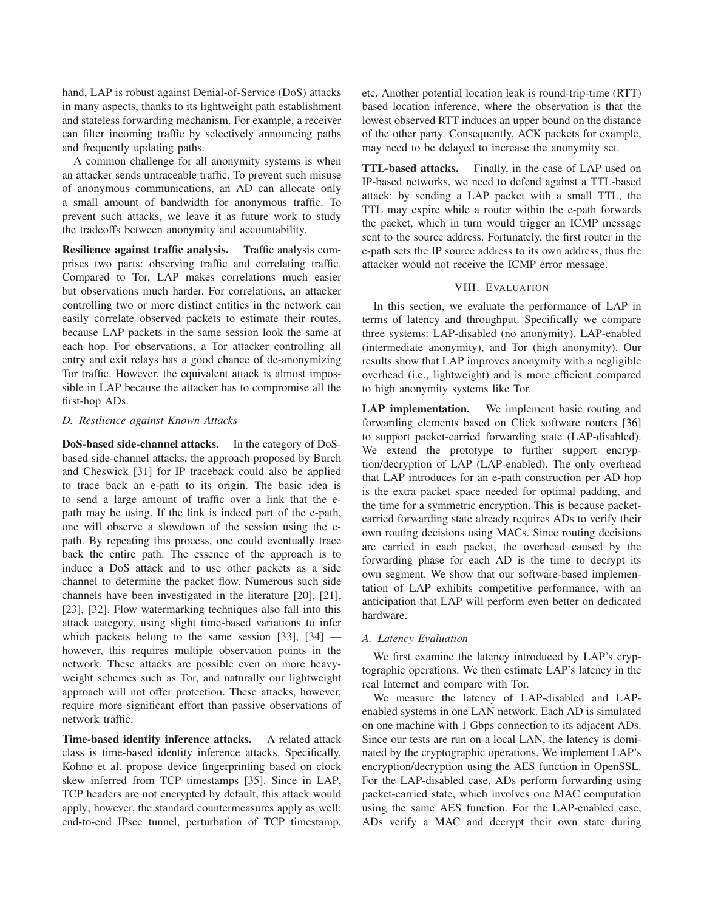hand, LAP is robust against Denial-of-Service (DoS) attacks in many aspects, thanks to its lightweight path establishment and stateless forwarding mechanism. For example, a receiver can filter incoming traffic by selectively announcing paths and frequently updating paths.

A common challenge for all anonymity systems is when an attacker sends untraceable traffic. To prevent such misuse of anonymous communications, an AD can allocate only a small amount of bandwidth for anonymous traffic. To prevent such attacks, we leave it as future work to study the tradeoffs between anonymity and accountability.

**Resilience against traffic analysis.** Traffic analysis comprises two parts: observing traffic and correlating traffic. Compared to Tor, LAP makes correlations much easier but observations much harder. For correlations, an attacker controlling two or more distinct entities in the network can easily correlate observed packets to estimate their routes, because LAP packets in the same session look the same at each hop. For observations, a Tor attacker controlling all entry and exit relays has a good chance of de-anonymizing Tor traffic. However, the equivalent attack is almost impossible in LAP because the attacker has to compromise all the first-hop ADs.

#### *D. Resilience against Known Attacks*

**DoS-based side-channel attacks.** In the category of DoSbased side-channel attacks, the approach proposed by Burch and Cheswick [31] for IP traceback could also be applied to trace back an e-path to its origin. The basic idea is to send a large amount of traffic over a link that the epath may be using. If the link is indeed part of the e-path, one will observe a slowdown of the session using the epath. By repeating this process, one could eventually trace back the entire path. The essence of the approach is to induce a DoS attack and to use other packets as a side channel to determine the packet flow. Numerous such side channels have been investigated in the literature [20], [21], [23], [32]. Flow watermarking techniques also fall into this attack category, using slight time-based variations to infer which packets belong to the same session  $[33]$ ,  $[34]$  however, this requires multiple observation points in the network. These attacks are possible even on more heavyweight schemes such as Tor, and naturally our lightweight approach will not offer protection. These attacks, however, require more significant effort than passive observations of network traffic.

**Time-based identity inference attacks.** A related attack class is time-based identity inference attacks. Specifically, Kohno et al. propose device fingerprinting based on clock skew inferred from TCP timestamps [35]. Since in LAP, TCP headers are not encrypted by default, this attack would apply; however, the standard countermeasures apply as well: end-to-end IPsec tunnel, perturbation of TCP timestamp, etc. Another potential location leak is round-trip-time (RTT) based location inference, where the observation is that the lowest observed RTT induces an upper bound on the distance of the other party. Consequently, ACK packets for example, may need to be delayed to increase the anonymity set.

**TTL-based attacks.** Finally, in the case of LAP used on IP-based networks, we need to defend against a TTL-based attack: by sending a LAP packet with a small TTL, the TTL may expire while a router within the e-path forwards the packet, which in turn would trigger an ICMP message sent to the source address. Fortunately, the first router in the e-path sets the IP source address to its own address, thus the attacker would not receive the ICMP error message.

#### VIII. EVALUATION

In this section, we evaluate the performance of LAP in terms of latency and throughput. Specifically we compare three systems: LAP-disabled (no anonymity), LAP-enabled (intermediate anonymity), and Tor (high anonymity). Our results show that LAP improves anonymity with a negligible overhead (i.e., lightweight) and is more efficient compared to high anonymity systems like Tor.

**LAP implementation.** We implement basic routing and forwarding elements based on Click software routers [36] to support packet-carried forwarding state (LAP-disabled). We extend the prototype to further support encryption/decryption of LAP (LAP-enabled). The only overhead that LAP introduces for an e-path construction per AD hop is the extra packet space needed for optimal padding, and the time for a symmetric encryption. This is because packetcarried forwarding state already requires ADs to verify their own routing decisions using MACs. Since routing decisions are carried in each packet, the overhead caused by the forwarding phase for each AD is the time to decrypt its own segment. We show that our software-based implementation of LAP exhibits competitive performance, with an anticipation that LAP will perform even better on dedicated hardware.

#### *A. Latency Evaluation*

We first examine the latency introduced by LAP's cryptographic operations. We then estimate LAP's latency in the real Internet and compare with Tor.

We measure the latency of LAP-disabled and LAPenabled systems in one LAN network. Each AD is simulated on one machine with 1 Gbps connection to its adjacent ADs. Since our tests are run on a local LAN, the latency is dominated by the cryptographic operations. We implement LAP's encryption/decryption using the AES function in OpenSSL. For the LAP-disabled case, ADs perform forwarding using packet-carried state, which involves one MAC computation using the same AES function. For the LAP-enabled case, ADs verify a MAC and decrypt their own state during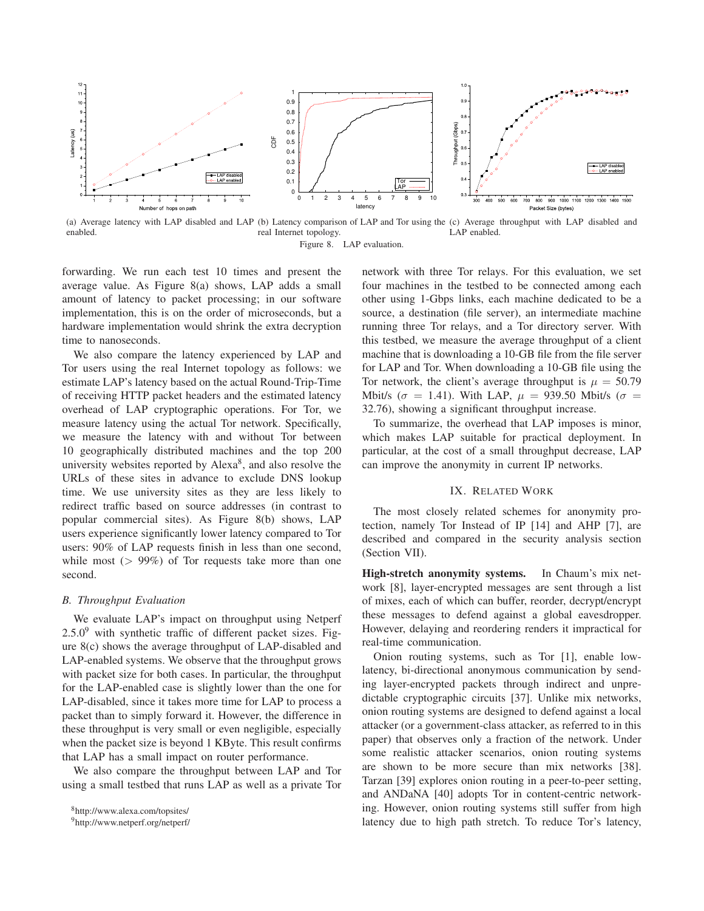

(a) Average latency with LAP disabled and LAP (b) Latency comparison of LAP and Tor using the (c) Average throughput with LAP disabled and enabled. real Internet topology. LAP enabled.

Figure 8. LAP evaluation.

forwarding. We run each test 10 times and present the average value. As Figure 8(a) shows, LAP adds a small amount of latency to packet processing; in our software implementation, this is on the order of microseconds, but a hardware implementation would shrink the extra decryption time to nanoseconds.

We also compare the latency experienced by LAP and Tor users using the real Internet topology as follows: we estimate LAP's latency based on the actual Round-Trip-Time of receiving HTTP packet headers and the estimated latency overhead of LAP cryptographic operations. For Tor, we measure latency using the actual Tor network. Specifically, we measure the latency with and without Tor between 10 geographically distributed machines and the top 200 university websites reported by  $\text{Alexa}^8$ , and also resolve the URLs of these sites in advance to exclude DNS lookup time. We use university sites as they are less likely to redirect traffic based on source addresses (in contrast to popular commercial sites). As Figure 8(b) shows, LAP users experience significantly lower latency compared to Tor users: 90% of LAP requests finish in less than one second, while most  $(> 99\%)$  of Tor requests take more than one second.

# *B. Throughput Evaluation*

We evaluate LAP's impact on throughput using Netperf  $2.5.0<sup>9</sup>$  with synthetic traffic of different packet sizes. Figure 8(c) shows the average throughput of LAP-disabled and LAP-enabled systems. We observe that the throughput grows with packet size for both cases. In particular, the throughput for the LAP-enabled case is slightly lower than the one for LAP-disabled, since it takes more time for LAP to process a packet than to simply forward it. However, the difference in these throughput is very small or even negligible, especially when the packet size is beyond 1 KByte. This result confirms that LAP has a small impact on router performance.

We also compare the throughput between LAP and Tor using a small testbed that runs LAP as well as a private Tor network with three Tor relays. For this evaluation, we set four machines in the testbed to be connected among each other using 1-Gbps links, each machine dedicated to be a source, a destination (file server), an intermediate machine running three Tor relays, and a Tor directory server. With this testbed, we measure the average throughput of a client machine that is downloading a 10-GB file from the file server for LAP and Tor. When downloading a 10-GB file using the Tor network, the client's average throughput is  $\mu = 50.79$ Mbit/s ( $\sigma = 1.41$ ). With LAP,  $\mu = 939.50$  Mbit/s ( $\sigma =$ 32.76), showing a significant throughput increase.

To summarize, the overhead that LAP imposes is minor, which makes LAP suitable for practical deployment. In particular, at the cost of a small throughput decrease, LAP can improve the anonymity in current IP networks.

# IX. RELATED WORK

The most closely related schemes for anonymity protection, namely Tor Instead of IP [14] and AHP [7], are described and compared in the security analysis section (Section VII).

**High-stretch anonymity systems.** In Chaum's mix network [8], layer-encrypted messages are sent through a list of mixes, each of which can buffer, reorder, decrypt/encrypt these messages to defend against a global eavesdropper. However, delaying and reordering renders it impractical for real-time communication.

Onion routing systems, such as Tor [1], enable lowlatency, bi-directional anonymous communication by sending layer-encrypted packets through indirect and unpredictable cryptographic circuits [37]. Unlike mix networks, onion routing systems are designed to defend against a local attacker (or a government-class attacker, as referred to in this paper) that observes only a fraction of the network. Under some realistic attacker scenarios, onion routing systems are shown to be more secure than mix networks [38]. Tarzan [39] explores onion routing in a peer-to-peer setting, and ANDaNA [40] adopts Tor in content-centric networking. However, onion routing systems still suffer from high latency due to high path stretch. To reduce Tor's latency,

<sup>8</sup>http://www.alexa.com/topsites/

<sup>9</sup>http://www.netperf.org/netperf/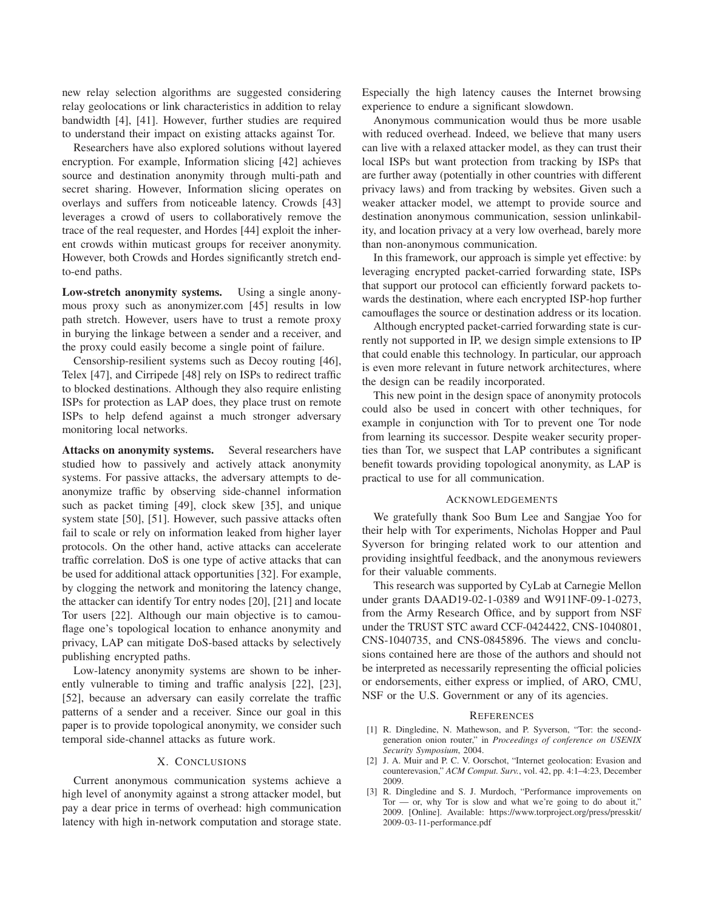new relay selection algorithms are suggested considering relay geolocations or link characteristics in addition to relay bandwidth [4], [41]. However, further studies are required to understand their impact on existing attacks against Tor.

Researchers have also explored solutions without layered encryption. For example, Information slicing [42] achieves source and destination anonymity through multi-path and secret sharing. However, Information slicing operates on overlays and suffers from noticeable latency. Crowds [43] leverages a crowd of users to collaboratively remove the trace of the real requester, and Hordes [44] exploit the inherent crowds within muticast groups for receiver anonymity. However, both Crowds and Hordes significantly stretch endto-end paths.

**Low-stretch anonymity systems.** Using a single anonymous proxy such as anonymizer.com [45] results in low path stretch. However, users have to trust a remote proxy in burying the linkage between a sender and a receiver, and the proxy could easily become a single point of failure.

Censorship-resilient systems such as Decoy routing [46], Telex [47], and Cirripede [48] rely on ISPs to redirect traffic to blocked destinations. Although they also require enlisting ISPs for protection as LAP does, they place trust on remote ISPs to help defend against a much stronger adversary monitoring local networks.

**Attacks on anonymity systems.** Several researchers have studied how to passively and actively attack anonymity systems. For passive attacks, the adversary attempts to deanonymize traffic by observing side-channel information such as packet timing [49], clock skew [35], and unique system state [50], [51]. However, such passive attacks often fail to scale or rely on information leaked from higher layer protocols. On the other hand, active attacks can accelerate traffic correlation. DoS is one type of active attacks that can be used for additional attack opportunities [32]. For example, by clogging the network and monitoring the latency change, the attacker can identify Tor entry nodes [20], [21] and locate Tor users [22]. Although our main objective is to camouflage one's topological location to enhance anonymity and privacy, LAP can mitigate DoS-based attacks by selectively publishing encrypted paths.

Low-latency anonymity systems are shown to be inherently vulnerable to timing and traffic analysis [22], [23], [52], because an adversary can easily correlate the traffic patterns of a sender and a receiver. Since our goal in this paper is to provide topological anonymity, we consider such temporal side-channel attacks as future work.

# X. CONCLUSIONS

Current anonymous communication systems achieve a high level of anonymity against a strong attacker model, but pay a dear price in terms of overhead: high communication latency with high in-network computation and storage state. Especially the high latency causes the Internet browsing experience to endure a significant slowdown.

Anonymous communication would thus be more usable with reduced overhead. Indeed, we believe that many users can live with a relaxed attacker model, as they can trust their local ISPs but want protection from tracking by ISPs that are further away (potentially in other countries with different privacy laws) and from tracking by websites. Given such a weaker attacker model, we attempt to provide source and destination anonymous communication, session unlinkability, and location privacy at a very low overhead, barely more than non-anonymous communication.

In this framework, our approach is simple yet effective: by leveraging encrypted packet-carried forwarding state, ISPs that support our protocol can efficiently forward packets towards the destination, where each encrypted ISP-hop further camouflages the source or destination address or its location.

Although encrypted packet-carried forwarding state is currently not supported in IP, we design simple extensions to IP that could enable this technology. In particular, our approach is even more relevant in future network architectures, where the design can be readily incorporated.

This new point in the design space of anonymity protocols could also be used in concert with other techniques, for example in conjunction with Tor to prevent one Tor node from learning its successor. Despite weaker security properties than Tor, we suspect that LAP contributes a significant benefit towards providing topological anonymity, as LAP is practical to use for all communication.

#### ACKNOWLEDGEMENTS

We gratefully thank Soo Bum Lee and Sangjae Yoo for their help with Tor experiments, Nicholas Hopper and Paul Syverson for bringing related work to our attention and providing insightful feedback, and the anonymous reviewers for their valuable comments.

This research was supported by CyLab at Carnegie Mellon under grants DAAD19-02-1-0389 and W911NF-09-1-0273, from the Army Research Office, and by support from NSF under the TRUST STC award CCF-0424422, CNS-1040801, CNS-1040735, and CNS-0845896. The views and conclusions contained here are those of the authors and should not be interpreted as necessarily representing the official policies or endorsements, either express or implied, of ARO, CMU, NSF or the U.S. Government or any of its agencies.

#### **REFERENCES**

- [1] R. Dingledine, N. Mathewson, and P. Syverson, "Tor: the secondgeneration onion router," in *Proceedings of conference on USENIX Security Symposium*, 2004.
- [2] J. A. Muir and P. C. V. Oorschot, "Internet geolocation: Evasion and counterevasion," *ACM Comput. Surv.*, vol. 42, pp. 4:1–4:23, December 2009.
- [3] R. Dingledine and S. J. Murdoch, "Performance improvements on Tor  $-$  or, why Tor is slow and what we're going to do about it," 2009. [Online]. Available: https://www.torproject.org/press/presskit/ 2009-03-11-performance.pdf